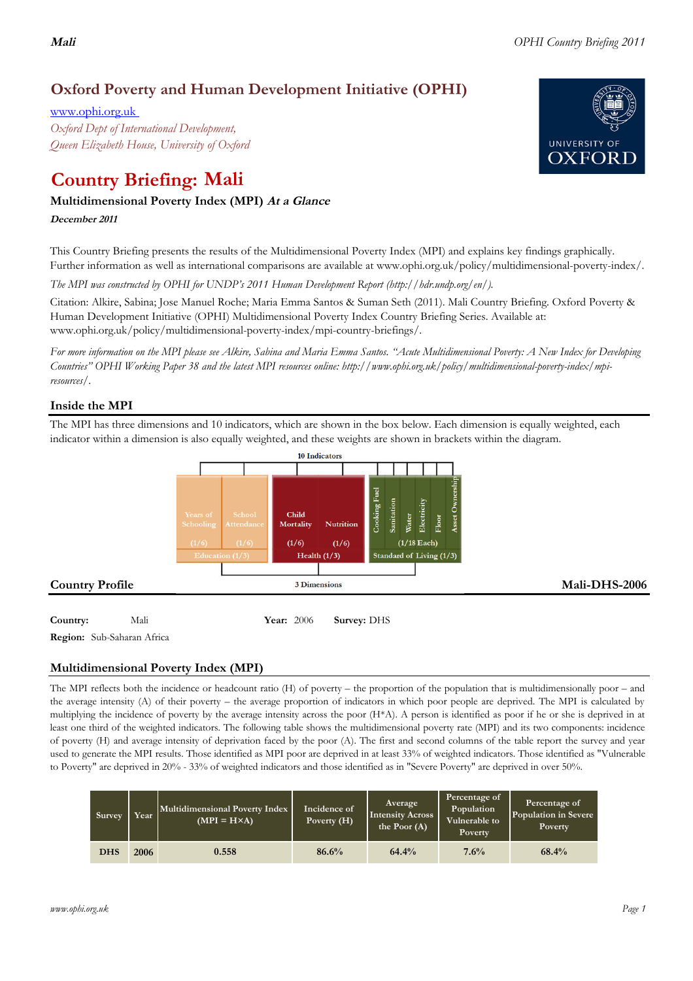# **Mali** *OPHI Country Briefing 2011*

# **Oxford Poverty and Human Development Initiative (OPHI)**

www.ophi.org.uk *Oxford Dept of International Development, Queen Elizabeth House, University of Oxford*

# **Country Briefing: Mali**

# **Multidimensional Poverty Index (MPI) At <sup>a</sup> Glance**

## **December <sup>2011</sup>**

This Country Briefing presents the results of the Multidimensional Poverty Index (MPI) and explains key findings graphically. Further information as well as international comparisons are available at www.ophi.org.uk/policy/multidimensional-poverty-index/.

*The MPI was constructed by OPHI for UNDP's 2011 Human Development Report (http://hdr.undp.org/en/).*

Citation: Alkire, Sabina; Jose Manuel Roche; Maria Emma Santos & Suman Seth (2011). Mali Country Briefing. Oxford Poverty & Human Development Initiative (OPHI) Multidimensional Poverty Index Country Briefing Series. Available at: www.ophi.org.uk/policy/multidimensional-poverty-index/mpi-country-briefings/.

*For more information on the MPI please see Alkire, Sabina and Maria Emma Santos. "Acute Multidimensional Poverty: A New Index for Developing Countries" OPHI Working Paper 38 and the latest MPI resources online: http://www.ophi.org.uk/policy/multidimensional-poverty-index/mpiresources/.*

# **Inside the MPI**

The MPI has three dimensions and 10 indicators, which are shown in the box below. Each dimension is equally weighted, each indicator within a dimension is also equally weighted, and these weights are shown in brackets within the diagram.



**Region:** Sub-Saharan Africa

# **Multidimensional Poverty Index (MPI)**

The MPI reflects both the incidence or headcount ratio (H) of poverty – the proportion of the population that is multidimensionally poor – and the average intensity (A) of their poverty – the average proportion of indicators in which poor people are deprived. The MPI is calculated by multiplying the incidence of poverty by the average intensity across the poor (H\*A). A person is identified as poor if he or she is deprived in at least one third of the weighted indicators. The following table shows the multidimensional poverty rate (MPI) and its two components: incidence of poverty (H) and average intensity of deprivation faced by the poor (A). The first and second columns of the table report the survey and year used to generate the MPI results. Those identified as MPI poor are deprived in at least 33% of weighted indicators. Those identified as "Vulnerable to Poverty" are deprived in 20% - 33% of weighted indicators and those identified as in "Severe Poverty" are deprived in over 50%.

| Survey     | Year | Multidimensional Poverty Index<br>$(MPI = H \times A)$ | Incidence of<br>Poverty (H) | <b>Average</b><br><b>Intensity Across</b><br>the Poor $(A)$ | Percentage of<br>Population<br>Vulnerable to<br>Poverty | Percentage of<br>Population in Severe<br>Poverty |
|------------|------|--------------------------------------------------------|-----------------------------|-------------------------------------------------------------|---------------------------------------------------------|--------------------------------------------------|
| <b>DHS</b> | 2006 | 0.558                                                  | 86.6%                       | 64.4%                                                       | 7.6%                                                    | 68.4%                                            |

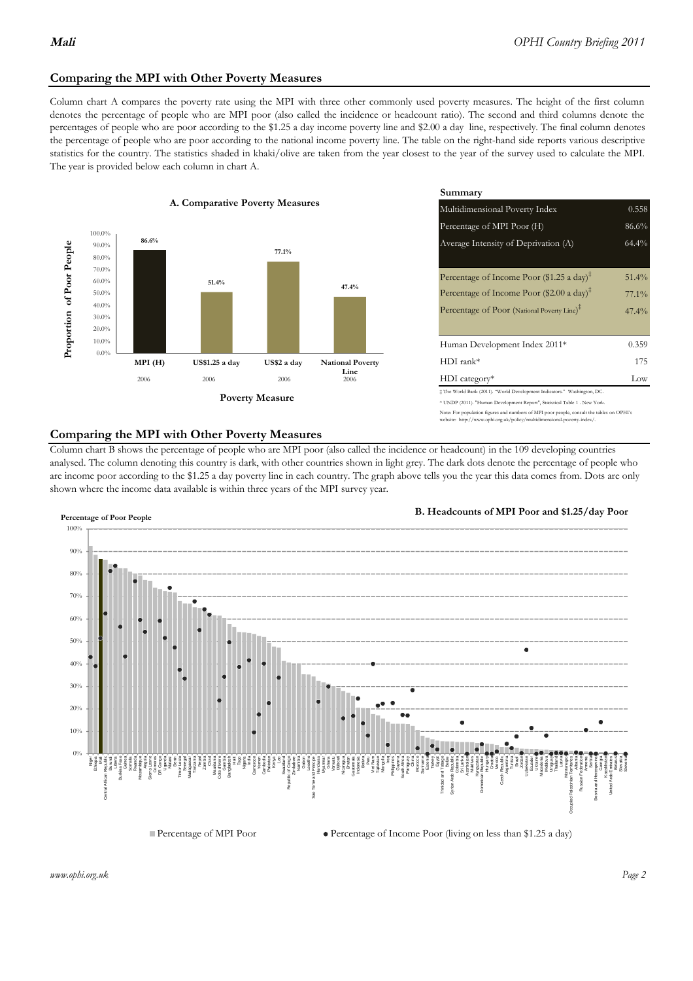## **Comparing the MPI with Other Poverty Measures**

Column chart A compares the poverty rate using the MPI with three other commonly used poverty measures. The height of the first column denotes the percentage of people who are MPI poor (also called the incidence or headcount ratio). The second and third columns denote the percentages of people who are poor according to the \$1.25 a day income poverty line and \$2.00 a day line, respectively. The final column denotes the percentage of people who are poor according to the national income poverty line. The table on the right-hand side reports various descriptive statistics for the country. The statistics shaded in khaki/olive are taken from the year closest to the year of the survey used to calculate the MPI. The year is provided below each column in chart A.



|                |                         | Summary                                                                                                                                                                                                          |                               |  |  |
|----------------|-------------------------|------------------------------------------------------------------------------------------------------------------------------------------------------------------------------------------------------------------|-------------------------------|--|--|
| erty Measures  |                         | Multidimensional Poverty Index<br>0.558                                                                                                                                                                          |                               |  |  |
|                |                         | Percentage of MPI Poor (H)                                                                                                                                                                                       | 86.6%                         |  |  |
| 77.1%          |                         | Average Intensity of Deprivation (A)                                                                                                                                                                             | 64.4%                         |  |  |
|                | 47.4%                   | Percentage of Income Poor (\$1.25 a day) <sup><math>\ddagger</math></sup><br>Percentage of Income Poor (\$2.00 a day) <sup><math>\bar{x}</math></sup><br>Percentage of Poor (National Poverty Line) <sup>#</sup> | $51.4\%$<br>$77.1\%$<br>47.4% |  |  |
|                |                         | Human Development Index 2011*                                                                                                                                                                                    | 0.359                         |  |  |
| US\$2 a day    | <b>National Poverty</b> | $HDI$ rank*                                                                                                                                                                                                      | 175                           |  |  |
| 2006           | Line<br>2006            | $HDI category*$                                                                                                                                                                                                  | Low                           |  |  |
| <b>Aeasure</b> |                         | $\pm$ The World Bank (2011). "World Development Indicators." Washington, DC.<br>* UNDP (2011). "Human Development Report", Statistical Table 1. New York.                                                        |                               |  |  |

e: For population figures and numbers of MPI poor people, consult the tables on OPHI's http://www.ophi.org.uk/policy/multidimensional-poverty-index/

#### **Comparing the MPI with Other Poverty Measures**

Column chart B shows the percentage of people who are MPI poor (also called the incidence or headcount) in the 109 developing countries analysed. The column denoting this country is dark, with other countries shown in light grey. The dark dots denote the percentage of people who are income poor according to the \$1.25 a day poverty line in each country. The graph above tells you the year this data comes from. Dots are only shown where the income data available is within three years of the MPI survey year.



**B. Headcounts of MPI Poor and \$1.25/day Poor**

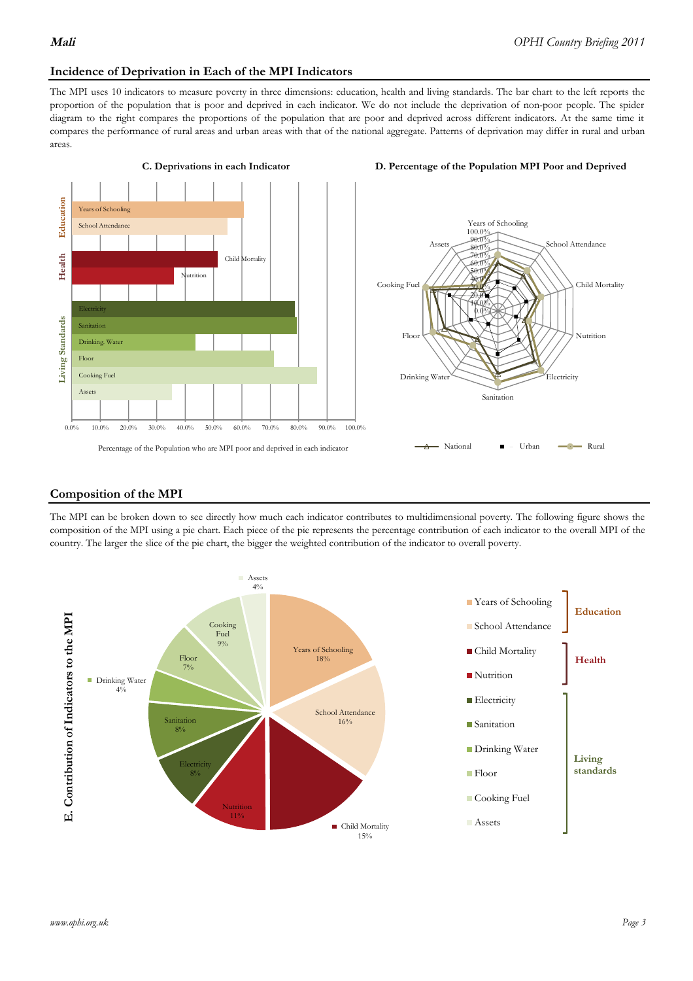#### **Incidence of Deprivation in Each of the MPI Indicators**

The MPI uses 10 indicators to measure poverty in three dimensions: education, health and living standards. The bar chart to the left reports the proportion of the population that is poor and deprived in each indicator. We do not include the deprivation of non-poor people. The spider diagram to the right compares the proportions of the population that are poor and deprived across different indicators. At the same time it compares the performance of rural areas and urban areas with that of the national aggregate. Patterns of deprivation may differ in rural and urban areas.







#### **Composition of the MPI**

The MPI can be broken down to see directly how much each indicator contributes to multidimensional poverty. The following figure shows the composition of the MPI using a pie chart. Each piece of the pie represents the percentage contribution of each indicator to the overall MPI of the country. The larger the slice of the pie chart, the bigger the weighted contribution of the indicator to overall poverty.

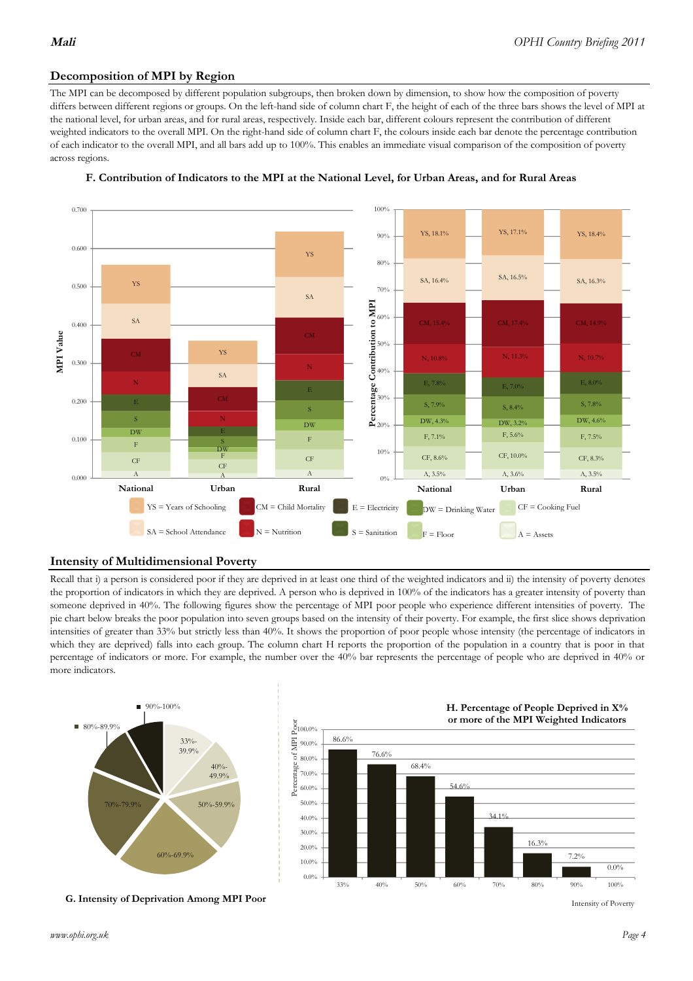# **Decomposition of MPI by Region**

The MPI can be decomposed by different population subgroups, then broken down by dimension, to show how the composition of poverty differs between different regions or groups. On the left-hand side of column chart F, the height of each of the three bars shows the level of MPI at the national level, for urban areas, and for rural areas, respectively. Inside each bar, different colours represent the contribution of different weighted indicators to the overall MPI. On the right-hand side of column chart F, the colours inside each bar denote the percentage contribution of each indicator to the overall MPI, and all bars add up to 100%. This enables an immediate visual comparison of the composition of poverty across regions.





## **Intensity of Multidimensional Poverty**

Recall that i) a person is considered poor if they are deprived in at least one third of the weighted indicators and ii) the intensity of poverty denotes the proportion of indicators in which they are deprived. A person who is deprived in 100% of the indicators has a greater intensity of poverty than someone deprived in 40%. The following figures show the percentage of MPI poor people who experience different intensities of poverty. The pie chart below breaks the poor population into seven groups based on the intensity of their poverty. For example, the first slice shows deprivation intensities of greater than 33% but strictly less than 40%. It shows the proportion of poor people whose intensity (the percentage of indicators in which they are deprived) falls into each group. The column chart H reports the proportion of the population in a country that is poor in that percentage of indicators or more. For example, the number over the 40% bar represents the percentage of people who are deprived in 40% or more indicators.



**G. Intensity of Deprivation Among MPI Poor**



Intensity of Poverty